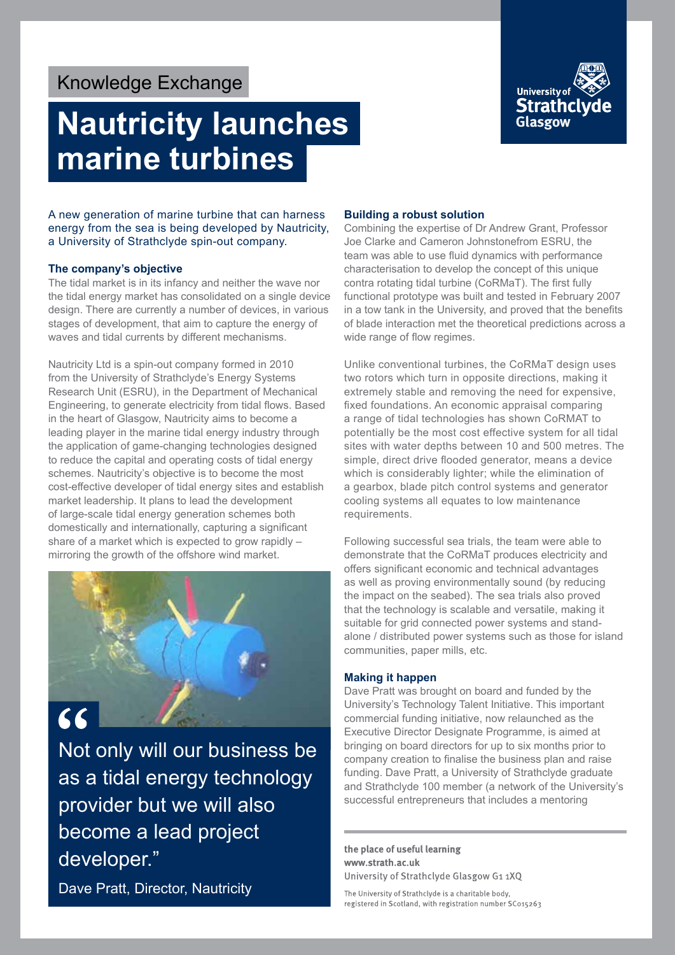## Knowledge Exchange

# **Nautricity launches marine turbines**



A new generation of marine turbine that can harness energy from the sea is being developed by Nautricity, a University of Strathclyde spin-out company.

#### **The company's objective**

The tidal market is in its infancy and neither the wave nor the tidal energy market has consolidated on a single device design. There are currently a number of devices, in various stages of development, that aim to capture the energy of waves and tidal currents by different mechanisms.

Nautricity Ltd is a spin-out company formed in 2010 from the University of Strathclyde's Energy Systems Research Unit (ESRU), in the Department of Mechanical Engineering, to generate electricity from tidal flows. Based in the heart of Glasgow, Nautricity aims to become a leading player in the marine tidal energy industry through the application of game-changing technologies designed to reduce the capital and operating costs of tidal energy schemes. Nautricity's objective is to become the most cost-effective developer of tidal energy sites and establish market leadership. It plans to lead the development of large-scale tidal energy generation schemes both domestically and internationally, capturing a significant share of a market which is expected to grow rapidly – mirroring the growth of the offshore wind market.



Not only will our business be as a tidal energy technology provider but we will also become a lead project developer."

Dave Pratt, Director, Nautricity

#### **Building a robust solution**

Combining the expertise of Dr Andrew Grant, Professor Joe Clarke and Cameron Johnstonefrom ESRU, the team was able to use fluid dynamics with performance characterisation to develop the concept of this unique contra rotating tidal turbine (CoRMaT). The first fully functional prototype was built and tested in February 2007 in a tow tank in the University, and proved that the benefits of blade interaction met the theoretical predictions across a wide range of flow regimes.

Unlike conventional turbines, the CoRMaT design uses two rotors which turn in opposite directions, making it extremely stable and removing the need for expensive, fixed foundations. An economic appraisal comparing a range of tidal technologies has shown CoRMAT to potentially be the most cost effective system for all tidal sites with water depths between 10 and 500 metres. The simple, direct drive flooded generator, means a device which is considerably lighter; while the elimination of a gearbox, blade pitch control systems and generator cooling systems all equates to low maintenance requirements.

Following successful sea trials, the team were able to demonstrate that the CoRMaT produces electricity and offers significant economic and technical advantages as well as proving environmentally sound (by reducing the impact on the seabed). The sea trials also proved that the technology is scalable and versatile, making it suitable for grid connected power systems and standalone / distributed power systems such as those for island communities, paper mills, etc.

#### **Making it happen**

Dave Pratt was brought on board and funded by the University's Technology Talent Initiative. This important commercial funding initiative, now relaunched as the Executive Director Designate Programme, is aimed at bringing on board directors for up to six months prior to company creation to finalise the business plan and raise funding. Dave Pratt, a University of Strathclyde graduate and Strathclyde 100 member (a network of the University's successful entrepreneurs that includes a mentoring

the place of useful learning www.strath.ac.uk University of Strathclyde Glasgow G1 1XQ

The University of Strathclyde is a charitable body, registered in Scotland, with registration number SC015263